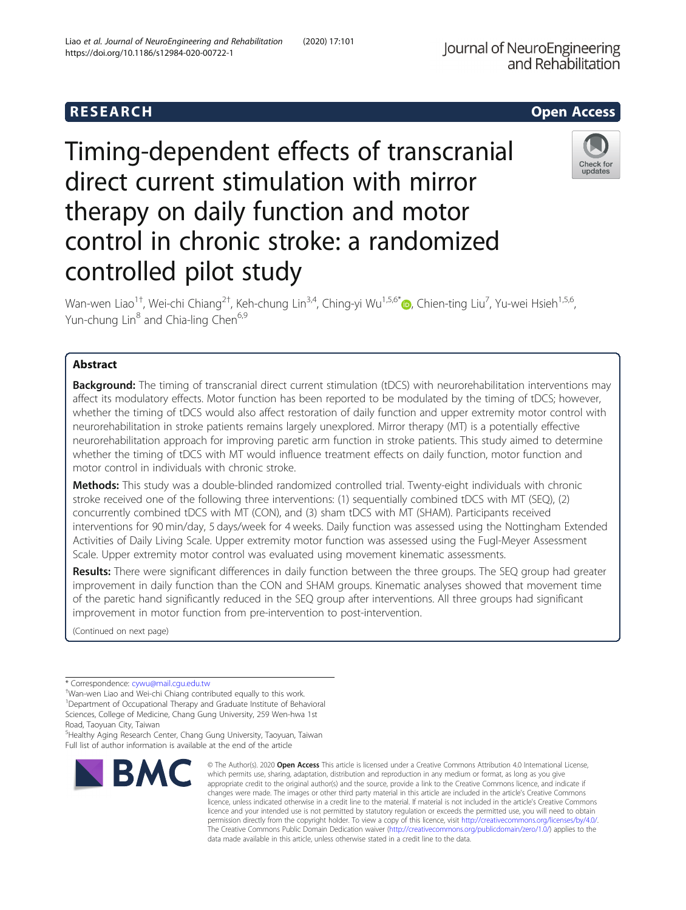## R E S EAR CH Open Access

# Timing-dependent effects of transcranial direct current stimulation with mirror therapy on daily function and motor control in chronic stroke: a randomized controlled pilot study

Wan-wen Liao<sup>1+</sup>, Wei-chi Chiang<sup>2†</sup>, Keh-chung Lin<sup>3,4</sup>, Ching-yi Wu<sup>1,5,6[\\*](http://orcid.org/0000-0003-4726-2916)</sup>®, Chien-ting Liu<sup>7</sup>, Yu-wei Hsieh<sup>1,5,6</sup>, Yun-chung Lin<sup>8</sup> and Chia-ling Chen<sup>6,9</sup>

## Abstract

Background: The timing of transcranial direct current stimulation (tDCS) with neurorehabilitation interventions may affect its modulatory effects. Motor function has been reported to be modulated by the timing of tDCS; however, whether the timing of tDCS would also affect restoration of daily function and upper extremity motor control with neurorehabilitation in stroke patients remains largely unexplored. Mirror therapy (MT) is a potentially effective neurorehabilitation approach for improving paretic arm function in stroke patients. This study aimed to determine whether the timing of tDCS with MT would influence treatment effects on daily function, motor function and motor control in individuals with chronic stroke.

Methods: This study was a double-blinded randomized controlled trial. Twenty-eight individuals with chronic stroke received one of the following three interventions: (1) sequentially combined tDCS with MT (SEQ), (2) concurrently combined tDCS with MT (CON), and (3) sham tDCS with MT (SHAM). Participants received interventions for 90 min/day, 5 days/week for 4 weeks. Daily function was assessed using the Nottingham Extended Activities of Daily Living Scale. Upper extremity motor function was assessed using the Fugl-Meyer Assessment Scale. Upper extremity motor control was evaluated using movement kinematic assessments.

Results: There were significant differences in daily function between the three groups. The SEQ group had greater improvement in daily function than the CON and SHAM groups. Kinematic analyses showed that movement time of the paretic hand significantly reduced in the SEQ group after interventions. All three groups had significant improvement in motor function from pre-intervention to post-intervention.

(Continued on next page)

Wan-wen Liao and Wei-chi Chiang contributed equally to this work. <sup>1</sup>Department of Occupational Therapy and Graduate Institute of Behavioral Sciences, College of Medicine, Chang Gung University, 259 Wen-hwa 1st

5 Healthy Aging Research Center, Chang Gung University, Taoyuan, Taiwan Full list of author information is available at the end of the article

data made available in this article, unless otherwise stated in a credit line to the data.

© The Author(s), 2020 **Open Access** This article is licensed under a Creative Commons Attribution 4.0 International License, which permits use, sharing, adaptation, distribution and reproduction in any medium or format, as long as you give appropriate credit to the original author(s) and the source, provide a link to the Creative Commons licence, and indicate if changes were made. The images or other third party material in this article are included in the article's Creative Commons licence, unless indicated otherwise in a credit line to the material. If material is not included in the article's Creative Commons licence and your intended use is not permitted by statutory regulation or exceeds the permitted use, you will need to obtain permission directly from the copyright holder. To view a copy of this licence, visit [http://creativecommons.org/licenses/by/4.0/.](http://creativecommons.org/licenses/by/4.0/) The Creative Commons Public Domain Dedication waiver [\(http://creativecommons.org/publicdomain/zero/1.0/](http://creativecommons.org/publicdomain/zero/1.0/)) applies to the



Check for undates



**BMC** 

<sup>\*</sup> Correspondence: [cywu@mail.cgu.edu.tw](mailto:cywu@mail.cgu.edu.tw) †

Road, Taoyuan City, Taiwan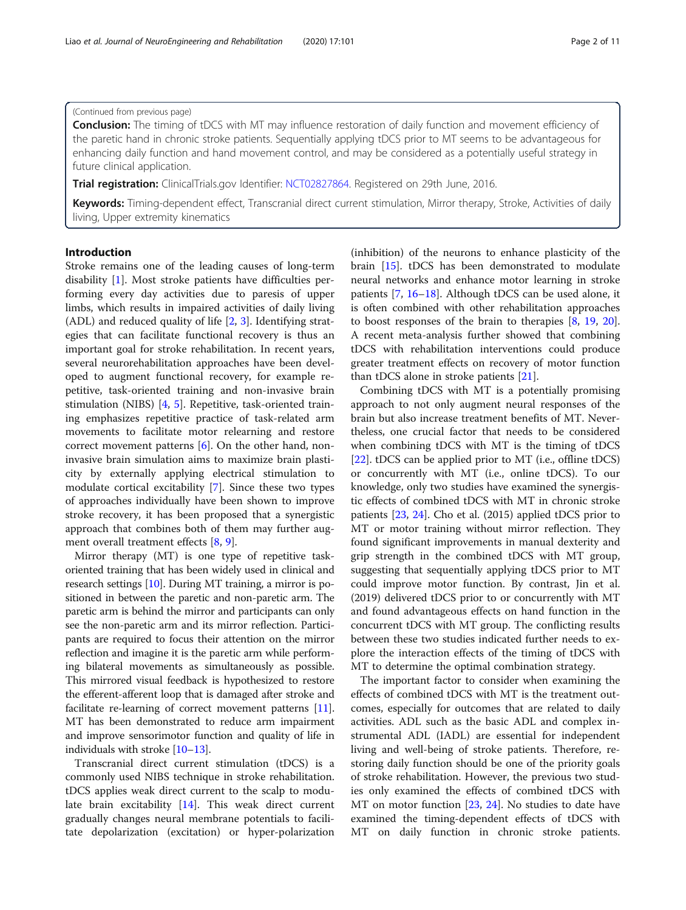## (Continued from previous page)

**Conclusion:** The timing of tDCS with MT may influence restoration of daily function and movement efficiency of the paretic hand in chronic stroke patients. Sequentially applying tDCS prior to MT seems to be advantageous for enhancing daily function and hand movement control, and may be considered as a potentially useful strategy in future clinical application.

**Trial registration:** ClinicalTrials.gov Identifier: [NCT02827864](https://clinicaltrials.gov/ct2/show/study/NCT02827864?term=NCT02827864&draw=2&rank=1). Registered on 29th June, 2016.

Keywords: Timing-dependent effect, Transcranial direct current stimulation, Mirror therapy, Stroke, Activities of daily living, Upper extremity kinematics

## Introduction

Stroke remains one of the leading causes of long-term disability [\[1](#page-8-0)]. Most stroke patients have difficulties performing every day activities due to paresis of upper limbs, which results in impaired activities of daily living (ADL) and reduced quality of life  $[2, 3]$  $[2, 3]$  $[2, 3]$  $[2, 3]$ . Identifying strategies that can facilitate functional recovery is thus an important goal for stroke rehabilitation. In recent years, several neurorehabilitation approaches have been developed to augment functional recovery, for example repetitive, task-oriented training and non-invasive brain stimulation (NIBS) [[4,](#page-9-0) [5](#page-9-0)]. Repetitive, task-oriented training emphasizes repetitive practice of task-related arm movements to facilitate motor relearning and restore correct movement patterns [[6\]](#page-9-0). On the other hand, noninvasive brain simulation aims to maximize brain plasticity by externally applying electrical stimulation to modulate cortical excitability [[7\]](#page-9-0). Since these two types of approaches individually have been shown to improve stroke recovery, it has been proposed that a synergistic approach that combines both of them may further augment overall treatment effects [[8,](#page-9-0) [9\]](#page-9-0).

Mirror therapy (MT) is one type of repetitive taskoriented training that has been widely used in clinical and research settings [[10\]](#page-9-0). During MT training, a mirror is positioned in between the paretic and non-paretic arm. The paretic arm is behind the mirror and participants can only see the non-paretic arm and its mirror reflection. Participants are required to focus their attention on the mirror reflection and imagine it is the paretic arm while performing bilateral movements as simultaneously as possible. This mirrored visual feedback is hypothesized to restore the efferent-afferent loop that is damaged after stroke and facilitate re-learning of correct movement patterns [[11](#page-9-0)]. MT has been demonstrated to reduce arm impairment and improve sensorimotor function and quality of life in individuals with stroke [[10](#page-9-0)–[13\]](#page-9-0).

Transcranial direct current stimulation (tDCS) is a commonly used NIBS technique in stroke rehabilitation. tDCS applies weak direct current to the scalp to modulate brain excitability [\[14](#page-9-0)]. This weak direct current gradually changes neural membrane potentials to facilitate depolarization (excitation) or hyper-polarization

(inhibition) of the neurons to enhance plasticity of the brain [\[15](#page-9-0)]. tDCS has been demonstrated to modulate neural networks and enhance motor learning in stroke patients [\[7](#page-9-0), [16](#page-9-0)–[18\]](#page-9-0). Although tDCS can be used alone, it is often combined with other rehabilitation approaches to boost responses of the brain to therapies [[8,](#page-9-0) [19](#page-9-0), [20](#page-9-0)]. A recent meta-analysis further showed that combining tDCS with rehabilitation interventions could produce greater treatment effects on recovery of motor function than tDCS alone in stroke patients [[21\]](#page-9-0).

Combining tDCS with MT is a potentially promising approach to not only augment neural responses of the brain but also increase treatment benefits of MT. Nevertheless, one crucial factor that needs to be considered when combining tDCS with MT is the timing of tDCS [[22\]](#page-9-0). tDCS can be applied prior to MT (i.e., offline tDCS) or concurrently with MT (i.e., online tDCS). To our knowledge, only two studies have examined the synergistic effects of combined tDCS with MT in chronic stroke patients [\[23,](#page-9-0) [24](#page-9-0)]. Cho et al. (2015) applied tDCS prior to MT or motor training without mirror reflection. They found significant improvements in manual dexterity and grip strength in the combined tDCS with MT group, suggesting that sequentially applying tDCS prior to MT could improve motor function. By contrast, Jin et al. (2019) delivered tDCS prior to or concurrently with MT and found advantageous effects on hand function in the concurrent tDCS with MT group. The conflicting results between these two studies indicated further needs to explore the interaction effects of the timing of tDCS with MT to determine the optimal combination strategy.

The important factor to consider when examining the effects of combined tDCS with MT is the treatment outcomes, especially for outcomes that are related to daily activities. ADL such as the basic ADL and complex instrumental ADL (IADL) are essential for independent living and well-being of stroke patients. Therefore, restoring daily function should be one of the priority goals of stroke rehabilitation. However, the previous two studies only examined the effects of combined tDCS with MT on motor function [[23,](#page-9-0) [24\]](#page-9-0). No studies to date have examined the timing-dependent effects of tDCS with MT on daily function in chronic stroke patients.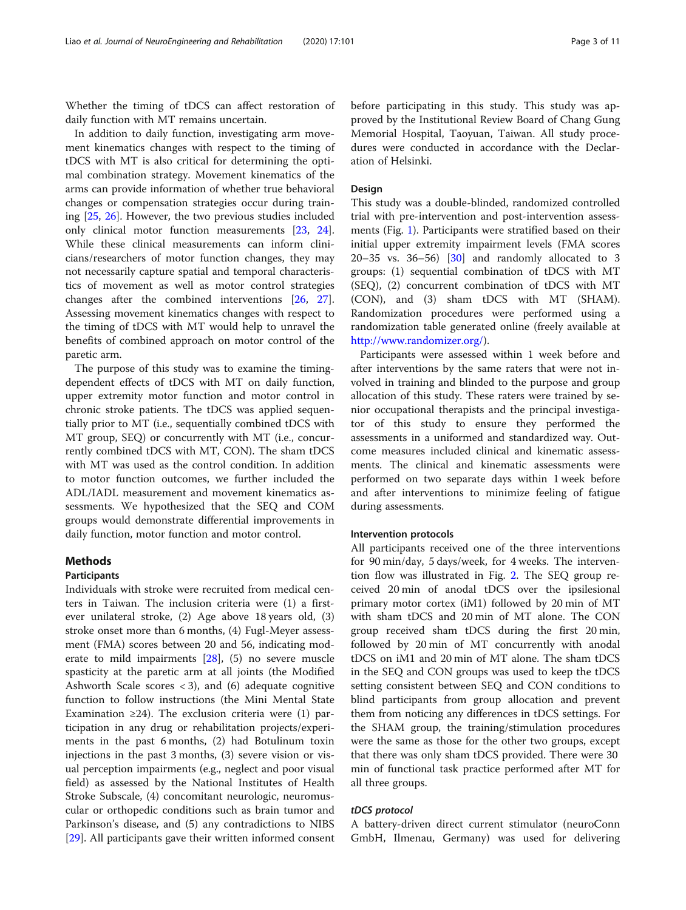Whether the timing of tDCS can affect restoration of daily function with MT remains uncertain.

In addition to daily function, investigating arm movement kinematics changes with respect to the timing of tDCS with MT is also critical for determining the optimal combination strategy. Movement kinematics of the arms can provide information of whether true behavioral changes or compensation strategies occur during training [[25,](#page-9-0) [26\]](#page-9-0). However, the two previous studies included only clinical motor function measurements [[23,](#page-9-0) [24](#page-9-0)]. While these clinical measurements can inform clinicians/researchers of motor function changes, they may not necessarily capture spatial and temporal characteristics of movement as well as motor control strategies changes after the combined interventions [[26,](#page-9-0) [27](#page-9-0)]. Assessing movement kinematics changes with respect to the timing of tDCS with MT would help to unravel the benefits of combined approach on motor control of the paretic arm.

The purpose of this study was to examine the timingdependent effects of tDCS with MT on daily function, upper extremity motor function and motor control in chronic stroke patients. The tDCS was applied sequentially prior to MT (i.e., sequentially combined tDCS with MT group, SEQ) or concurrently with MT (i.e., concurrently combined tDCS with MT, CON). The sham tDCS with MT was used as the control condition. In addition to motor function outcomes, we further included the ADL/IADL measurement and movement kinematics assessments. We hypothesized that the SEQ and COM groups would demonstrate differential improvements in daily function, motor function and motor control.

## Methods

## Participants

Individuals with stroke were recruited from medical centers in Taiwan. The inclusion criteria were (1) a firstever unilateral stroke, (2) Age above 18 years old, (3) stroke onset more than 6 months, (4) Fugl-Meyer assessment (FMA) scores between 20 and 56, indicating moderate to mild impairments [\[28\]](#page-9-0), (5) no severe muscle spasticity at the paretic arm at all joints (the Modified Ashworth Scale scores  $<$  3), and (6) adequate cognitive function to follow instructions (the Mini Mental State Examination  $\geq 24$ ). The exclusion criteria were (1) participation in any drug or rehabilitation projects/experiments in the past 6 months, (2) had Botulinum toxin injections in the past 3 months, (3) severe vision or visual perception impairments (e.g., neglect and poor visual field) as assessed by the National Institutes of Health Stroke Subscale, (4) concomitant neurologic, neuromuscular or orthopedic conditions such as brain tumor and Parkinson's disease, and (5) any contradictions to NIBS [[29\]](#page-9-0). All participants gave their written informed consent

before participating in this study. This study was approved by the Institutional Review Board of Chang Gung Memorial Hospital, Taoyuan, Taiwan. All study procedures were conducted in accordance with the Declaration of Helsinki.

### Design

This study was a double-blinded, randomized controlled trial with pre-intervention and post-intervention assessments (Fig. [1\)](#page-3-0). Participants were stratified based on their initial upper extremity impairment levels (FMA scores 20–35 vs. 36–56)  $\begin{bmatrix} 30 \\ 30 \end{bmatrix}$  and randomly allocated to 3 groups: (1) sequential combination of tDCS with MT (SEQ), (2) concurrent combination of tDCS with MT (CON), and (3) sham tDCS with MT (SHAM). Randomization procedures were performed using a randomization table generated online (freely available at [http://www.randomizer.org/\)](http://www.randomizer.org/).

Participants were assessed within 1 week before and after interventions by the same raters that were not involved in training and blinded to the purpose and group allocation of this study. These raters were trained by senior occupational therapists and the principal investigator of this study to ensure they performed the assessments in a uniformed and standardized way. Outcome measures included clinical and kinematic assessments. The clinical and kinematic assessments were performed on two separate days within 1 week before and after interventions to minimize feeling of fatigue during assessments.

## Intervention protocols

All participants received one of the three interventions for 90 min/day, 5 days/week, for 4 weeks. The intervention flow was illustrated in Fig. [2](#page-3-0). The SEQ group received 20 min of anodal tDCS over the ipsilesional primary motor cortex (iM1) followed by 20 min of MT with sham tDCS and 20 min of MT alone. The CON group received sham tDCS during the first 20 min, followed by 20 min of MT concurrently with anodal tDCS on iM1 and 20 min of MT alone. The sham tDCS in the SEQ and CON groups was used to keep the tDCS setting consistent between SEQ and CON conditions to blind participants from group allocation and prevent them from noticing any differences in tDCS settings. For the SHAM group, the training/stimulation procedures were the same as those for the other two groups, except that there was only sham tDCS provided. There were 30 min of functional task practice performed after MT for all three groups.

#### tDCS protocol

A battery-driven direct current stimulator (neuroConn GmbH, Ilmenau, Germany) was used for delivering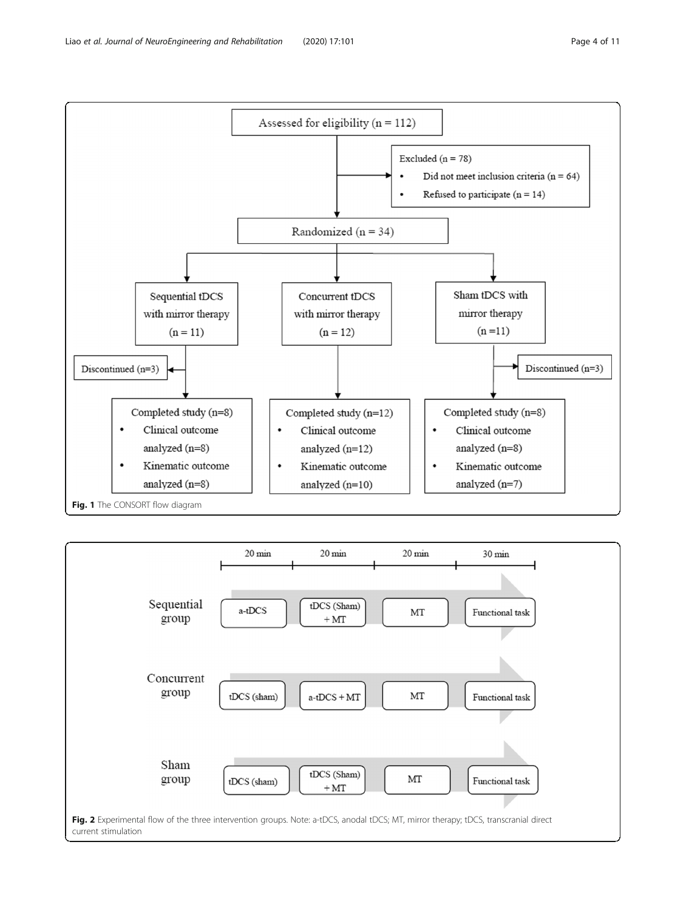<span id="page-3-0"></span>

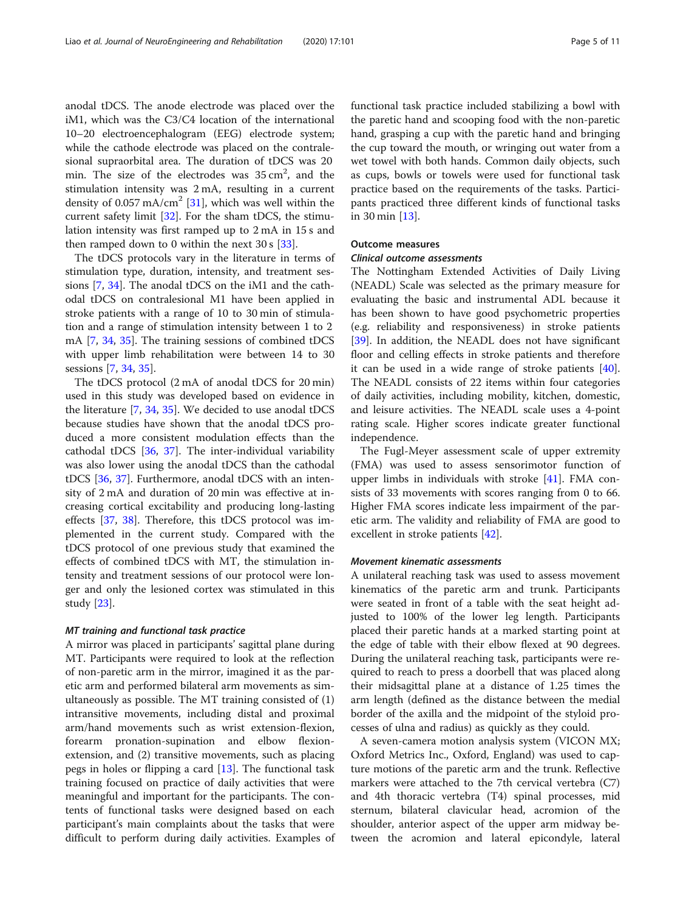anodal tDCS. The anode electrode was placed over the iM1, which was the C3/C4 location of the international 10–20 electroencephalogram (EEG) electrode system; while the cathode electrode was placed on the contralesional supraorbital area. The duration of tDCS was 20 min. The size of the electrodes was  $35 \text{ cm}^2$ , and the stimulation intensity was 2 mA, resulting in a current density of 0.057 mA/cm<sup>2</sup> [[31\]](#page-9-0), which was well within the current safety limit [\[32](#page-9-0)]. For the sham tDCS, the stimulation intensity was first ramped up to 2 mA in 15 s and then ramped down to 0 within the next  $30 s$  [ $33$ ].

The tDCS protocols vary in the literature in terms of stimulation type, duration, intensity, and treatment sessions [[7](#page-9-0), [34\]](#page-9-0). The anodal tDCS on the iM1 and the cathodal tDCS on contralesional M1 have been applied in stroke patients with a range of 10 to 30 min of stimulation and a range of stimulation intensity between 1 to 2 mA [\[7](#page-9-0), [34,](#page-9-0) [35\]](#page-9-0). The training sessions of combined tDCS with upper limb rehabilitation were between 14 to 30 sessions [\[7](#page-9-0), [34](#page-9-0), [35](#page-9-0)].

The tDCS protocol (2 mA of anodal tDCS for 20 min) used in this study was developed based on evidence in the literature [\[7,](#page-9-0) [34,](#page-9-0) [35\]](#page-9-0). We decided to use anodal tDCS because studies have shown that the anodal tDCS produced a more consistent modulation effects than the cathodal tDCS [[36](#page-9-0), [37](#page-9-0)]. The inter-individual variability was also lower using the anodal tDCS than the cathodal tDCS [\[36,](#page-9-0) [37](#page-9-0)]. Furthermore, anodal tDCS with an intensity of 2 mA and duration of 20 min was effective at increasing cortical excitability and producing long-lasting effects [\[37,](#page-9-0) [38](#page-9-0)]. Therefore, this tDCS protocol was implemented in the current study. Compared with the tDCS protocol of one previous study that examined the effects of combined tDCS with MT, the stimulation intensity and treatment sessions of our protocol were longer and only the lesioned cortex was stimulated in this study [[23\]](#page-9-0).

#### MT training and functional task practice

A mirror was placed in participants' sagittal plane during MT. Participants were required to look at the reflection of non-paretic arm in the mirror, imagined it as the paretic arm and performed bilateral arm movements as simultaneously as possible. The MT training consisted of (1) intransitive movements, including distal and proximal arm/hand movements such as wrist extension-flexion, forearm pronation-supination and elbow flexionextension, and (2) transitive movements, such as placing pegs in holes or flipping a card [[13\]](#page-9-0). The functional task training focused on practice of daily activities that were meaningful and important for the participants. The contents of functional tasks were designed based on each participant's main complaints about the tasks that were difficult to perform during daily activities. Examples of functional task practice included stabilizing a bowl with the paretic hand and scooping food with the non-paretic hand, grasping a cup with the paretic hand and bringing the cup toward the mouth, or wringing out water from a wet towel with both hands. Common daily objects, such as cups, bowls or towels were used for functional task practice based on the requirements of the tasks. Participants practiced three different kinds of functional tasks in 30 min [[13](#page-9-0)].

## Outcome measures

## Clinical outcome assessments

The Nottingham Extended Activities of Daily Living (NEADL) Scale was selected as the primary measure for evaluating the basic and instrumental ADL because it has been shown to have good psychometric properties (e.g. reliability and responsiveness) in stroke patients [[39\]](#page-9-0). In addition, the NEADL does not have significant floor and celling effects in stroke patients and therefore it can be used in a wide range of stroke patients [\[40](#page-9-0)]. The NEADL consists of 22 items within four categories of daily activities, including mobility, kitchen, domestic, and leisure activities. The NEADL scale uses a 4-point rating scale. Higher scores indicate greater functional independence.

The Fugl-Meyer assessment scale of upper extremity (FMA) was used to assess sensorimotor function of upper limbs in individuals with stroke [\[41\]](#page-9-0). FMA consists of 33 movements with scores ranging from 0 to 66. Higher FMA scores indicate less impairment of the paretic arm. The validity and reliability of FMA are good to excellent in stroke patients [[42\]](#page-9-0).

#### Movement kinematic assessments

A unilateral reaching task was used to assess movement kinematics of the paretic arm and trunk. Participants were seated in front of a table with the seat height adjusted to 100% of the lower leg length. Participants placed their paretic hands at a marked starting point at the edge of table with their elbow flexed at 90 degrees. During the unilateral reaching task, participants were required to reach to press a doorbell that was placed along their midsagittal plane at a distance of 1.25 times the arm length (defined as the distance between the medial border of the axilla and the midpoint of the styloid processes of ulna and radius) as quickly as they could.

A seven-camera motion analysis system (VICON MX; Oxford Metrics Inc., Oxford, England) was used to capture motions of the paretic arm and the trunk. Reflective markers were attached to the 7th cervical vertebra (C7) and 4th thoracic vertebra (T4) spinal processes, mid sternum, bilateral clavicular head, acromion of the shoulder, anterior aspect of the upper arm midway between the acromion and lateral epicondyle, lateral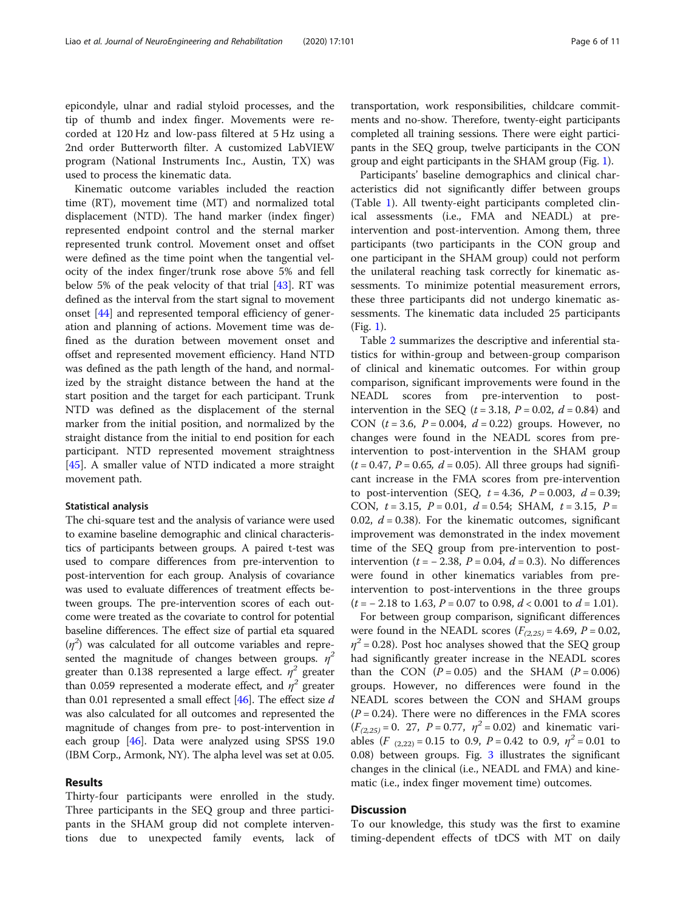epicondyle, ulnar and radial styloid processes, and the tip of thumb and index finger. Movements were recorded at 120 Hz and low-pass filtered at 5 Hz using a 2nd order Butterworth filter. A customized LabVIEW program (National Instruments Inc., Austin, TX) was used to process the kinematic data.

Kinematic outcome variables included the reaction time (RT), movement time (MT) and normalized total displacement (NTD). The hand marker (index finger) represented endpoint control and the sternal marker represented trunk control. Movement onset and offset were defined as the time point when the tangential velocity of the index finger/trunk rose above 5% and fell below 5% of the peak velocity of that trial [\[43](#page-9-0)]. RT was defined as the interval from the start signal to movement onset [\[44\]](#page-9-0) and represented temporal efficiency of generation and planning of actions. Movement time was defined as the duration between movement onset and offset and represented movement efficiency. Hand NTD was defined as the path length of the hand, and normalized by the straight distance between the hand at the start position and the target for each participant. Trunk NTD was defined as the displacement of the sternal marker from the initial position, and normalized by the straight distance from the initial to end position for each participant. NTD represented movement straightness [[45\]](#page-9-0). A smaller value of NTD indicated a more straight movement path.

#### Statistical analysis

The chi-square test and the analysis of variance were used to examine baseline demographic and clinical characteristics of participants between groups. A paired t-test was used to compare differences from pre-intervention to post-intervention for each group. Analysis of covariance was used to evaluate differences of treatment effects between groups. The pre-intervention scores of each outcome were treated as the covariate to control for potential baseline differences. The effect size of partial eta squared  $(\eta^2)$  was calculated for all outcome variables and represented the magnitude of changes between groups.  $\eta^2$ greater than 0.138 represented a large effect.  $\eta^2$  greater than 0.059 represented a moderate effect, and  $\eta^2$  greater than 0.01 represented a small effect  $[46]$ . The effect size d was also calculated for all outcomes and represented the magnitude of changes from pre- to post-intervention in each group  $[46]$  $[46]$  $[46]$ . Data were analyzed using SPSS 19.0 (IBM Corp., Armonk, NY). The alpha level was set at 0.05.

## Results

Thirty-four participants were enrolled in the study. Three participants in the SEQ group and three participants in the SHAM group did not complete interventions due to unexpected family events, lack of

transportation, work responsibilities, childcare commitments and no-show. Therefore, twenty-eight participants completed all training sessions. There were eight participants in the SEQ group, twelve participants in the CON group and eight participants in the SHAM group (Fig. [1\)](#page-3-0).

Participants' baseline demographics and clinical characteristics did not significantly differ between groups (Table [1\)](#page-6-0). All twenty-eight participants completed clinical assessments (i.e., FMA and NEADL) at preintervention and post-intervention. Among them, three participants (two participants in the CON group and one participant in the SHAM group) could not perform the unilateral reaching task correctly for kinematic assessments. To minimize potential measurement errors, these three participants did not undergo kinematic assessments. The kinematic data included 25 participants (Fig. [1](#page-3-0)).

Table [2](#page-7-0) summarizes the descriptive and inferential statistics for within-group and between-group comparison of clinical and kinematic outcomes. For within group comparison, significant improvements were found in the NEADL scores from pre-intervention to postintervention in the SEQ ( $t = 3.18$ ,  $P = 0.02$ ,  $d = 0.84$ ) and CON  $(t = 3.6, P = 0.004, d = 0.22)$  groups. However, no changes were found in the NEADL scores from preintervention to post-intervention in the SHAM group  $(t = 0.47, P = 0.65, d = 0.05)$ . All three groups had significant increase in the FMA scores from pre-intervention to post-intervention (SEQ,  $t = 4.36$ ,  $P = 0.003$ ,  $d = 0.39$ ; CON,  $t = 3.15$ ,  $P = 0.01$ ,  $d = 0.54$ ; SHAM,  $t = 3.15$ ,  $P =$ 0.02,  $d = 0.38$ ). For the kinematic outcomes, significant improvement was demonstrated in the index movement time of the SEQ group from pre-intervention to postintervention ( $t = -2.38$ ,  $P = 0.04$ ,  $d = 0.3$ ). No differences were found in other kinematics variables from preintervention to post-interventions in the three groups  $(t = -2.18 \text{ to } 1.63, P = 0.07 \text{ to } 0.98, d < 0.001 \text{ to } d = 1.01).$ 

For between group comparison, significant differences were found in the NEADL scores  $(F_{(2,25)} = 4.69, P = 0.02,$  $\eta^2$  = 0.28). Post hoc analyses showed that the SEQ group had significantly greater increase in the NEADL scores than the CON  $(P = 0.05)$  and the SHAM  $(P = 0.006)$ groups. However, no differences were found in the NEADL scores between the CON and SHAM groups  $(P = 0.24)$ . There were no differences in the FMA scores  $(F_{(2,25)} = 0.27, P = 0.77, \eta^2 = 0.02)$  and kinematic variables (F  $_{(2,22)} = 0.15$  to 0.9, P = 0.42 to 0.9,  $\eta^2 = 0.01$  to 0.08) between groups. Fig. [3](#page-7-0) illustrates the significant changes in the clinical (i.e., NEADL and FMA) and kinematic (i.e., index finger movement time) outcomes.

## **Discussion**

To our knowledge, this study was the first to examine timing-dependent effects of tDCS with MT on daily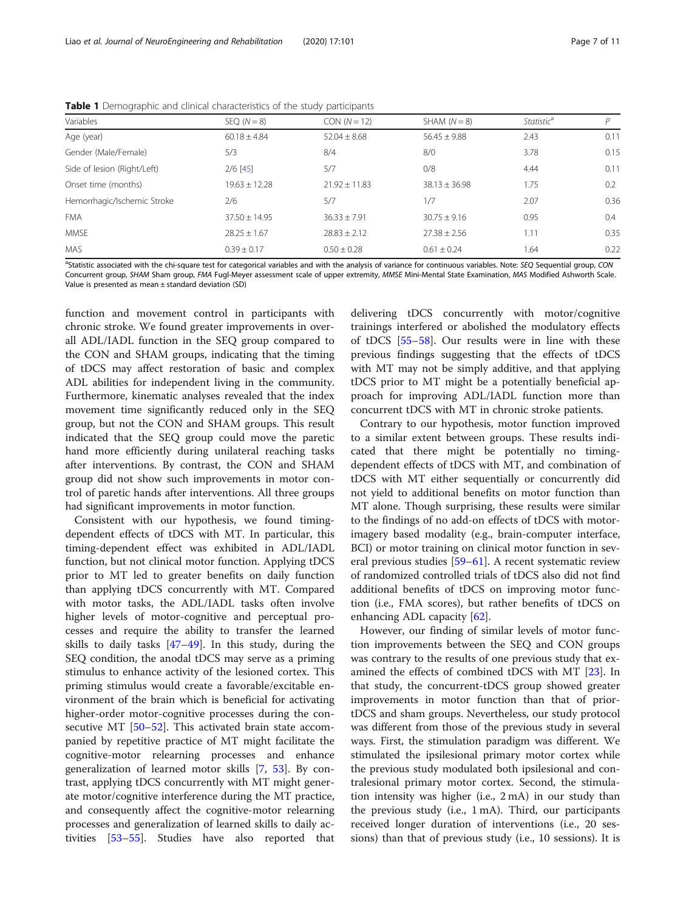| Variables                   | $SEQ (N = 8)$     | $CON (N = 12)$    | $SHAM (N = 8)$    | Statistic <sup>a</sup> | р<br>0.11 |  |
|-----------------------------|-------------------|-------------------|-------------------|------------------------|-----------|--|
| Age (year)                  | $60.18 \pm 4.84$  | $52.04 \pm 8.68$  | $56.45 \pm 9.88$  | 2.43                   |           |  |
| Gender (Male/Female)        | 5/3               | 8/4               | 8/0               | 3.78                   | 0.15      |  |
| Side of lesion (Right/Left) | $2/6$ [45]        | 5/7               | 0/8               | 4.44                   | 0.11      |  |
| Onset time (months)         | $19.63 \pm 12.28$ | $21.92 \pm 11.83$ | $38.13 \pm 36.98$ | 1.75                   | 0.2       |  |
| Hemorrhagic/Ischemic Stroke | 2/6               | 5/7               | 1/7               | 2.07                   | 0.36      |  |
| <b>FMA</b>                  | $37.50 \pm 14.95$ | $36.33 \pm 7.91$  | $30.75 \pm 9.16$  | 0.95                   | 0.4       |  |
| <b>MMSE</b>                 | $28.25 \pm 1.67$  | $28.83 \pm 2.12$  | $27.38 \pm 2.56$  | 1.11                   | 0.35      |  |
| <b>MAS</b>                  | $0.39 \pm 0.17$   | $0.50 \pm 0.28$   | $0.61 \pm 0.24$   | 1.64                   | 0.22      |  |
|                             |                   |                   |                   |                        |           |  |

<span id="page-6-0"></span>Table 1 Demographic and clinical characteristics of the study participants

<sup>a</sup>Statistic associated with the chi-square test for categorical variables and with the analysis of variance for continuous variables. Note: SEQ Sequential group, CON Concurrent group, SHAM Sham group, FMA Fugl-Meyer assessment scale of upper extremity, MMSE Mini-Mental State Examination, MAS Modified Ashworth Scale. Value is presented as mean ± standard deviation (SD)

function and movement control in participants with chronic stroke. We found greater improvements in overall ADL/IADL function in the SEQ group compared to the CON and SHAM groups, indicating that the timing of tDCS may affect restoration of basic and complex ADL abilities for independent living in the community. Furthermore, kinematic analyses revealed that the index movement time significantly reduced only in the SEQ group, but not the CON and SHAM groups. This result indicated that the SEQ group could move the paretic hand more efficiently during unilateral reaching tasks after interventions. By contrast, the CON and SHAM group did not show such improvements in motor control of paretic hands after interventions. All three groups had significant improvements in motor function.

Consistent with our hypothesis, we found timingdependent effects of tDCS with MT. In particular, this timing-dependent effect was exhibited in ADL/IADL function, but not clinical motor function. Applying tDCS prior to MT led to greater benefits on daily function than applying tDCS concurrently with MT. Compared with motor tasks, the ADL/IADL tasks often involve higher levels of motor-cognitive and perceptual processes and require the ability to transfer the learned skills to daily tasks [\[47](#page-10-0)–[49\]](#page-10-0). In this study, during the SEQ condition, the anodal tDCS may serve as a priming stimulus to enhance activity of the lesioned cortex. This priming stimulus would create a favorable/excitable environment of the brain which is beneficial for activating higher-order motor-cognitive processes during the consecutive MT [[50](#page-10-0)–[52](#page-10-0)]. This activated brain state accompanied by repetitive practice of MT might facilitate the cognitive-motor relearning processes and enhance generalization of learned motor skills [[7,](#page-9-0) [53\]](#page-10-0). By contrast, applying tDCS concurrently with MT might generate motor/cognitive interference during the MT practice, and consequently affect the cognitive-motor relearning processes and generalization of learned skills to daily activities [\[53](#page-10-0)–[55\]](#page-10-0). Studies have also reported that

delivering tDCS concurrently with motor/cognitive trainings interfered or abolished the modulatory effects of tDCS [[55](#page-10-0)–[58](#page-10-0)]. Our results were in line with these previous findings suggesting that the effects of tDCS with MT may not be simply additive, and that applying tDCS prior to MT might be a potentially beneficial approach for improving ADL/IADL function more than concurrent tDCS with MT in chronic stroke patients.

Contrary to our hypothesis, motor function improved to a similar extent between groups. These results indicated that there might be potentially no timingdependent effects of tDCS with MT, and combination of tDCS with MT either sequentially or concurrently did not yield to additional benefits on motor function than MT alone. Though surprising, these results were similar to the findings of no add-on effects of tDCS with motorimagery based modality (e.g., brain-computer interface, BCI) or motor training on clinical motor function in several previous studies [[59](#page-10-0)–[61](#page-10-0)]. A recent systematic review of randomized controlled trials of tDCS also did not find additional benefits of tDCS on improving motor function (i.e., FMA scores), but rather benefits of tDCS on enhancing ADL capacity [\[62](#page-10-0)].

However, our finding of similar levels of motor function improvements between the SEQ and CON groups was contrary to the results of one previous study that examined the effects of combined tDCS with MT [[23\]](#page-9-0). In that study, the concurrent-tDCS group showed greater improvements in motor function than that of priortDCS and sham groups. Nevertheless, our study protocol was different from those of the previous study in several ways. First, the stimulation paradigm was different. We stimulated the ipsilesional primary motor cortex while the previous study modulated both ipsilesional and contralesional primary motor cortex. Second, the stimulation intensity was higher (i.e., 2 mA) in our study than the previous study (i.e., 1 mA). Third, our participants received longer duration of interventions (i.e., 20 sessions) than that of previous study (i.e., 10 sessions). It is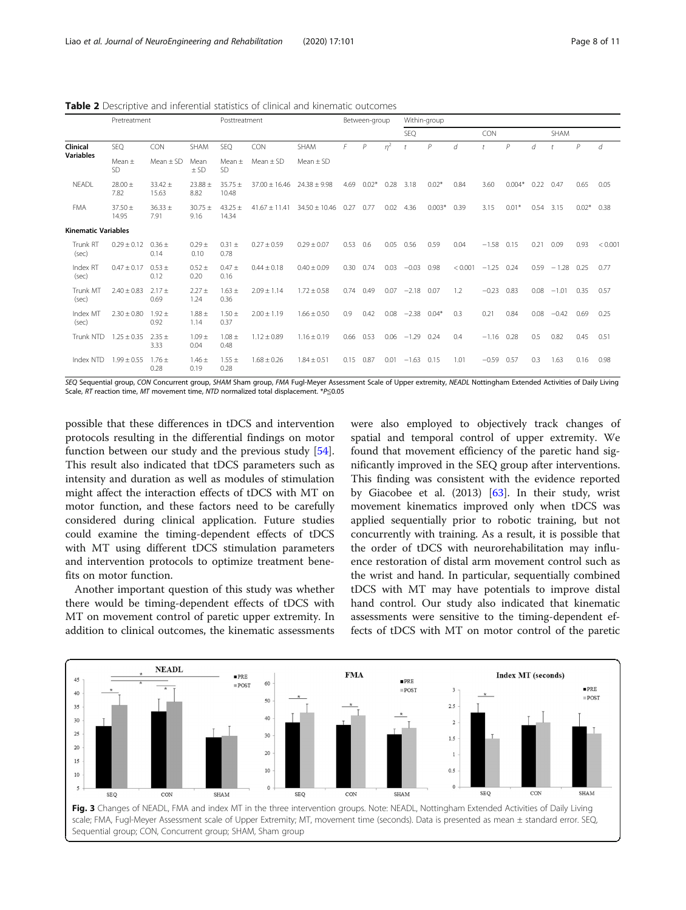<span id="page-7-0"></span>Table 2 Descriptive and inferential statistics of clinical and kinematic outcomes

|                              | Pretreatment            |                      | Posttreatment         |                      | Between-group     |                                          | Within-group |                |       |              |              |         |                      |          |      |             |         |         |
|------------------------------|-------------------------|----------------------|-----------------------|----------------------|-------------------|------------------------------------------|--------------|----------------|-------|--------------|--------------|---------|----------------------|----------|------|-------------|---------|---------|
|                              |                         |                      |                       |                      |                   |                                          |              |                |       | SEQ          |              |         | <b>CON</b>           |          |      | <b>SHAM</b> |         |         |
| Clinical<br><b>Variables</b> | SEQ                     | <b>CON</b>           | SHAM                  | SEQ                  | CON               | SHAM                                     | F            | $\overline{P}$ | $n^2$ |              | $\mathcal P$ | d       | $\ddot{\phantom{1}}$ | P        | d    |             | P       | d       |
|                              | Mean $\pm$<br><b>SD</b> | Mean $\pm$ SD        | Mean<br>$\pm$ SD      | Mean $\pm$<br>SD     | Mean $\pm$ SD     | Mean $\pm$ SD                            |              |                |       |              |              |         |                      |          |      |             |         |         |
| <b>NEADL</b>                 | $28.00 \pm$<br>7.82     | $33.42 \pm$<br>15.63 | $23.88 \pm$<br>8.82   | $35.75 \pm$<br>10.48 | $37.00 \pm 16.46$ | $24.38 \pm 9.98$                         | 4.69         | $0.02*$        | 0.28  | 3.18         | $0.02*$      | 0.84    | 3.60                 | $0.004*$ | 0.22 | 0.47        | 0.65    | 0.05    |
| <b>FMA</b>                   | $37.50 \pm$<br>14.95    | $36.33 \pm$<br>7.91  | $30.75 \pm$<br>9.16   | $43.25 \pm$<br>14.34 |                   | $41.67 \pm 11.41$ $34.50 \pm 10.46$ 0.27 |              | 0.77           |       | $0.02$ 4.36  | $0.003*$     | 0.39    | 3.15                 | $0.01*$  | 0.54 | 3.15        | $0.02*$ | 0.38    |
| <b>Kinematic Variables</b>   |                         |                      |                       |                      |                   |                                          |              |                |       |              |              |         |                      |          |      |             |         |         |
| Trunk RT<br>(sec)            | $0.29 \pm 0.12$         | $0.36 \pm$<br>0.14   | $0.29 +$<br>0.10      | $0.31 \pm$<br>0.78   | $0.27 \pm 0.59$   | $0.29 \pm 0.07$                          | 0.53         | 0.6            | 0.05  | 0.56         | 0.59         | 0.04    | $-1.58$              | 0.15     | 0.21 | 0.09        | 0.93    | < 0.001 |
| Index RT<br>(sec)            | $0.47 \pm 0.17$         | $0.53 \pm$<br>0.12   | $0.52 \pm$<br>0.20    | $0.47 \pm$<br>0.16   | $0.44 \pm 0.18$   | $0.40 \pm 0.09$                          | 0.30         | 0.74           | 0.03  | $-0.03$      | 0.98         | < 0.001 | $-1.25$              | 0.24     | 0.59 | $-1.28$     | 0.25    | 0.77    |
| Trunk MT<br>(sec)            | $2.40 \pm 0.83$         | $2.17 +$<br>0.69     | $2.27 +$<br>1.24      | $1.63 \pm$<br>0.36   | $2.09 \pm 1.14$   | $1.72 \pm 0.58$                          |              | 0.74 0.49      |       | $0.07 -2.18$ | 0.07         | 1.2     | $-0.23$              | 0.83     | 0.08 | $-1.01$     | 0.35    | 0.57    |
| Index MT<br>(sec)            | $2.30 \pm 0.80$         | $1.92 +$<br>0.92     | $1.88\,\pm\,$<br>1.14 | $1.50 \pm$<br>0.37   | $2.00 \pm 1.19$   | $1.66 \pm 0.50$                          | 0.9          | 0.42           | 0.08  | $-2.38$      | $0.04*$      | 0.3     | 0.21                 | 0.84     | 0.08 | $-0.42$     | 0.69    | 0.25    |
| Trunk NTD                    | $1.25 \pm 0.35$         | $2.35 \pm$<br>3.33   | $1.09 +$<br>0.04      | $1.08 \pm$<br>0.48   | $1.12 \pm 0.89$   | $1.16 \pm 0.19$                          | 0.66         | 0.53           | 0.06  | $-1.29$      | 0.24         | 0.4     | $-1.16$              | 0.28     | 0.5  | 0.82        | 0.45    | 0.51    |
| Index NTD                    | $1.99 \pm 0.55$         | $1.76 \pm$<br>0.28   | $1.46 \pm$<br>0.19    | $1.55 \pm$<br>0.28   | $1.68 \pm 0.26$   | $1.84 \pm 0.51$                          | 0.15         | 0.87           | 0.01  | $-1.63$      | 0.15         | 1.01    | $-0.59$              | 0.57     | 0.3  | 1.63        | 0.16    | 0.98    |

SEQ Sequential group, CON Concurrent group, SHAM Sham group, FMA Fugl-Meyer Assessment Scale of Upper extremity, NEADL Nottingham Extended Activities of Daily Living Scale, RT reaction time, MT movement time, NTD normalized total displacement. \*P≦0.05

possible that these differences in tDCS and intervention protocols resulting in the differential findings on motor function between our study and the previous study [\[54](#page-10-0)]. This result also indicated that tDCS parameters such as intensity and duration as well as modules of stimulation might affect the interaction effects of tDCS with MT on motor function, and these factors need to be carefully considered during clinical application. Future studies could examine the timing-dependent effects of tDCS with MT using different tDCS stimulation parameters and intervention protocols to optimize treatment benefits on motor function.

Another important question of this study was whether there would be timing-dependent effects of tDCS with MT on movement control of paretic upper extremity. In addition to clinical outcomes, the kinematic assessments were also employed to objectively track changes of spatial and temporal control of upper extremity. We found that movement efficiency of the paretic hand significantly improved in the SEQ group after interventions. This finding was consistent with the evidence reported by Giacobee et al.  $(2013)$   $[63]$  $[63]$  $[63]$ . In their study, wrist movement kinematics improved only when tDCS was applied sequentially prior to robotic training, but not concurrently with training. As a result, it is possible that the order of tDCS with neurorehabilitation may influence restoration of distal arm movement control such as the wrist and hand. In particular, sequentially combined tDCS with MT may have potentials to improve distal hand control. Our study also indicated that kinematic assessments were sensitive to the timing-dependent effects of tDCS with MT on motor control of the paretic

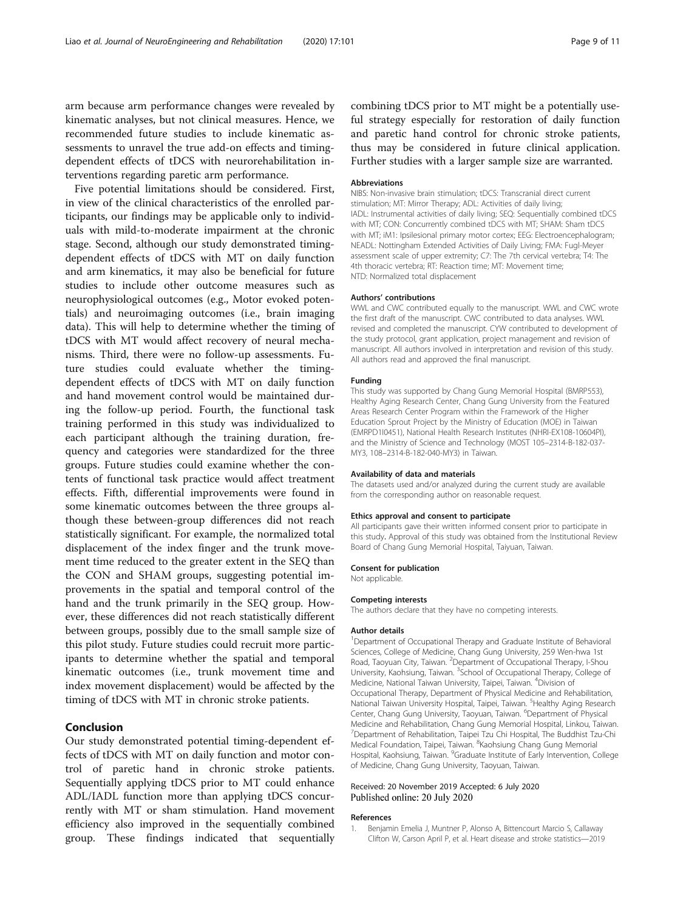<span id="page-8-0"></span>arm because arm performance changes were revealed by kinematic analyses, but not clinical measures. Hence, we recommended future studies to include kinematic assessments to unravel the true add-on effects and timingdependent effects of tDCS with neurorehabilitation interventions regarding paretic arm performance.

Five potential limitations should be considered. First, in view of the clinical characteristics of the enrolled participants, our findings may be applicable only to individuals with mild-to-moderate impairment at the chronic stage. Second, although our study demonstrated timingdependent effects of tDCS with MT on daily function and arm kinematics, it may also be beneficial for future studies to include other outcome measures such as neurophysiological outcomes (e.g., Motor evoked potentials) and neuroimaging outcomes (i.e., brain imaging data). This will help to determine whether the timing of tDCS with MT would affect recovery of neural mechanisms. Third, there were no follow-up assessments. Future studies could evaluate whether the timingdependent effects of tDCS with MT on daily function and hand movement control would be maintained during the follow-up period. Fourth, the functional task training performed in this study was individualized to each participant although the training duration, frequency and categories were standardized for the three groups. Future studies could examine whether the contents of functional task practice would affect treatment effects. Fifth, differential improvements were found in some kinematic outcomes between the three groups although these between-group differences did not reach statistically significant. For example, the normalized total displacement of the index finger and the trunk movement time reduced to the greater extent in the SEQ than the CON and SHAM groups, suggesting potential improvements in the spatial and temporal control of the hand and the trunk primarily in the SEQ group. However, these differences did not reach statistically different between groups, possibly due to the small sample size of this pilot study. Future studies could recruit more participants to determine whether the spatial and temporal kinematic outcomes (i.e., trunk movement time and index movement displacement) would be affected by the timing of tDCS with MT in chronic stroke patients.

## Conclusion

Our study demonstrated potential timing-dependent effects of tDCS with MT on daily function and motor control of paretic hand in chronic stroke patients. Sequentially applying tDCS prior to MT could enhance ADL/IADL function more than applying tDCS concurrently with MT or sham stimulation. Hand movement efficiency also improved in the sequentially combined group. These findings indicated that sequentially combining tDCS prior to MT might be a potentially useful strategy especially for restoration of daily function and paretic hand control for chronic stroke patients, thus may be considered in future clinical application. Further studies with a larger sample size are warranted.

#### Abbreviations

NIBS: Non-invasive brain stimulation; tDCS: Transcranial direct current stimulation; MT: Mirror Therapy; ADL: Activities of daily living; IADL: Instrumental activities of daily living; SEQ: Sequentially combined tDCS with MT; CON: Concurrently combined tDCS with MT; SHAM: Sham tDCS with MT; iM1: Ipsilesional primary motor cortex; EEG: Electroencephalogram; NEADL: Nottingham Extended Activities of Daily Living; FMA: Fugl-Meyer assessment scale of upper extremity; C7: The 7th cervical vertebra; T4: The 4th thoracic vertebra; RT: Reaction time; MT: Movement time; NTD: Normalized total displacement

#### Authors' contributions

WWL and CWC contributed equally to the manuscript. WWL and CWC wrote the first draft of the manuscript. CWC contributed to data analyses. WWL revised and completed the manuscript. CYW contributed to development of the study protocol, grant application, project management and revision of manuscript. All authors involved in interpretation and revision of this study. All authors read and approved the final manuscript.

#### Funding

This study was supported by Chang Gung Memorial Hospital (BMRP553), Healthy Aging Research Center, Chang Gung University from the Featured Areas Research Center Program within the Framework of the Higher Education Sprout Project by the Ministry of Education (MOE) in Taiwan (EMRPD1I0451), National Health Research Institutes (NHRI-EX108-10604PI), and the Ministry of Science and Technology (MOST 105–2314-B-182-037- MY3, 108–2314-B-182-040-MY3) in Taiwan.

## Availability of data and materials

The datasets used and/or analyzed during the current study are available from the corresponding author on reasonable request.

#### Ethics approval and consent to participate

All participants gave their written informed consent prior to participate in this study. Approval of this study was obtained from the Institutional Review Board of Chang Gung Memorial Hospital, Taiyuan, Taiwan.

#### Consent for publication

Not applicable.

#### Competing interests

The authors declare that they have no competing interests.

#### Author details

<sup>1</sup>Department of Occupational Therapy and Graduate Institute of Behavioral Sciences, College of Medicine, Chang Gung University, 259 Wen-hwa 1st Road, Taoyuan City, Taiwan. <sup>2</sup> Department of Occupational Therapy, I-Shou University, Kaohsiung, Taiwan. <sup>3</sup>School of Occupational Therapy, College of Medicine, National Taiwan University, Taipei, Taiwan. <sup>4</sup>Division of Occupational Therapy, Department of Physical Medicine and Rehabilitation, National Taiwan University Hospital, Taipei, Taiwan. <sup>5</sup>Healthy Aging Research Center, Chang Gung University, Taoyuan, Taiwan. <sup>6</sup>Department of Physical Medicine and Rehabilitation, Chang Gung Memorial Hospital, Linkou, Taiwan. 7 Department of Rehabilitation, Taipei Tzu Chi Hospital, The Buddhist Tzu-Chi Medical Foundation, Taipei, Taiwan. <sup>8</sup>Kaohsiung Chang Gung Memorial Hospital, Kaohsiung, Taiwan. <sup>9</sup>Graduate Institute of Early Intervention, College of Medicine, Chang Gung University, Taoyuan, Taiwan.

## Received: 20 November 2019 Accepted: 6 July 2020 Published online: 20 July 2020

#### References

1. Benjamin Emelia J, Muntner P, Alonso A, Bittencourt Marcio S, Callaway Clifton W, Carson April P, et al. Heart disease and stroke statistics—2019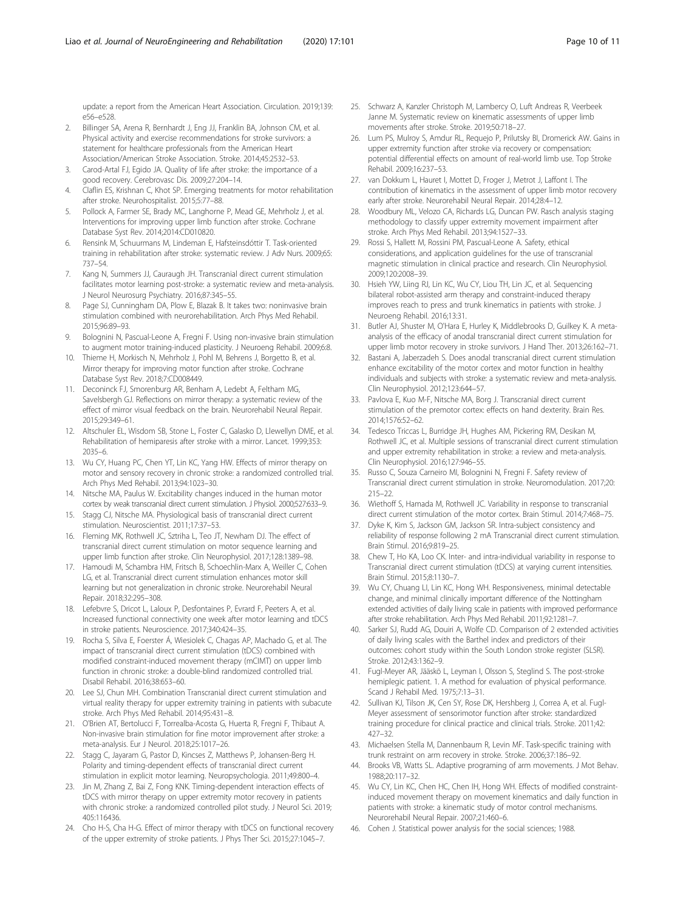<span id="page-9-0"></span>update: a report from the American Heart Association. Circulation. 2019;139: e56–e528.

- 2. Billinger SA, Arena R, Bernhardt J, Eng JJ, Franklin BA, Johnson CM, et al. Physical activity and exercise recommendations for stroke survivors: a statement for healthcare professionals from the American Heart Association/American Stroke Association. Stroke. 2014;45:2532–53.
- 3. Carod-Artal FJ, Egido JA. Quality of life after stroke: the importance of a good recovery. Cerebrovasc Dis. 2009;27:204–14.
- 4. Claflin ES, Krishnan C, Khot SP. Emerging treatments for motor rehabilitation after stroke. Neurohospitalist. 2015;5:77–88.
- Pollock A, Farmer SE, Brady MC, Langhorne P, Mead GE, Mehrholz J, et al. Interventions for improving upper limb function after stroke. Cochrane Database Syst Rev. 2014;2014:CD010820.
- 6. Rensink M, Schuurmans M, Lindeman E, Hafsteinsdóttir T. Task-oriented training in rehabilitation after stroke: systematic review. J Adv Nurs. 2009;65: 737–54.
- 7. Kang N, Summers JJ, Cauraugh JH. Transcranial direct current stimulation facilitates motor learning post-stroke: a systematic review and meta-analysis. J Neurol Neurosurg Psychiatry. 2016;87:345–55.
- 8. Page SJ, Cunningham DA, Plow E, Blazak B. It takes two: noninvasive brain stimulation combined with neurorehabilitation. Arch Phys Med Rehabil. 2015;96:89–93.
- 9. Bolognini N, Pascual-Leone A, Fregni F. Using non-invasive brain stimulation to augment motor training-induced plasticity. J Neuroeng Rehabil. 2009;6:8.
- 10. Thieme H, Morkisch N, Mehrholz J, Pohl M, Behrens J, Borgetto B, et al. Mirror therapy for improving motor function after stroke. Cochrane Database Syst Rev. 2018;7:CD008449.
- 11. Deconinck FJ, Smorenburg AR, Benham A, Ledebt A, Feltham MG, Savelsbergh GJ. Reflections on mirror therapy: a systematic review of the effect of mirror visual feedback on the brain. Neurorehabil Neural Repair. 2015;29:349–61.
- 12. Altschuler EL, Wisdom SB, Stone L, Foster C, Galasko D, Llewellyn DME, et al. Rehabilitation of hemiparesis after stroke with a mirror. Lancet. 1999;353: 2035–6.
- 13. Wu CY, Huang PC, Chen YT, Lin KC, Yang HW. Effects of mirror therapy on motor and sensory recovery in chronic stroke: a randomized controlled trial. Arch Phys Med Rehabil. 2013;94:1023–30.
- 14. Nitsche MA, Paulus W. Excitability changes induced in the human motor cortex by weak transcranial direct current stimulation. J Physiol. 2000;527:633–9.
- 15. Stagg CJ, Nitsche MA. Physiological basis of transcranial direct current stimulation. Neuroscientist. 2011;17:37–53.
- 16. Fleming MK, Rothwell JC, Sztriha L, Teo JT, Newham DJ. The effect of transcranial direct current stimulation on motor sequence learning and upper limb function after stroke. Clin Neurophysiol. 2017;128:1389–98.
- 17. Hamoudi M, Schambra HM, Fritsch B, Schoechlin-Marx A, Weiller C, Cohen LG, et al. Transcranial direct current stimulation enhances motor skill learning but not generalization in chronic stroke. Neurorehabil Neural Repair. 2018;32:295–308.
- 18. Lefebvre S, Dricot L, Laloux P, Desfontaines P, Evrard F, Peeters A, et al. Increased functional connectivity one week after motor learning and tDCS in stroke patients. Neuroscience. 2017;340:424–35.
- 19. Rocha S, Silva E, Foerster Á, Wiesiolek C, Chagas AP, Machado G, et al. The impact of transcranial direct current stimulation (tDCS) combined with modified constraint-induced movement therapy (mCIMT) on upper limb function in chronic stroke: a double-blind randomized controlled trial. Disabil Rehabil. 2016;38:653–60.
- 20. Lee SJ, Chun MH. Combination Transcranial direct current stimulation and virtual reality therapy for upper extremity training in patients with subacute stroke. Arch Phys Med Rehabil. 2014;95:431–8.
- 21. O'Brien AT, Bertolucci F, Torrealba-Acosta G, Huerta R, Fregni F, Thibaut A. Non-invasive brain stimulation for fine motor improvement after stroke: a meta-analysis. Eur J Neurol. 2018;25:1017–26.
- 22. Stagg C, Jayaram G, Pastor D, Kincses Z, Matthews P, Johansen-Berg H. Polarity and timing-dependent effects of transcranial direct current stimulation in explicit motor learning. Neuropsychologia. 2011;49:800–4.
- 23. Jin M, Zhang Z, Bai Z, Fong KNK. Timing-dependent interaction effects of tDCS with mirror therapy on upper extremity motor recovery in patients with chronic stroke: a randomized controlled pilot study. J Neurol Sci. 2019; 405:116436.
- 24. Cho H-S, Cha H-G. Effect of mirror therapy with tDCS on functional recovery of the upper extremity of stroke patients. J Phys Ther Sci. 2015;27:1045–7.
- 25. Schwarz A, Kanzler Christoph M, Lambercy O, Luft Andreas R, Veerbeek Janne M. Systematic review on kinematic assessments of upper limb movements after stroke. Stroke. 2019;50:718–27.
- 26. Lum PS, Mulroy S, Amdur RL, Requejo P, Prilutsky BI, Dromerick AW. Gains in upper extremity function after stroke via recovery or compensation: potential differential effects on amount of real-world limb use. Top Stroke Rehabil. 2009;16:237–53.
- 27. van Dokkum L, Hauret I, Mottet D, Froger J, Metrot J, Laffont I. The contribution of kinematics in the assessment of upper limb motor recovery early after stroke. Neurorehabil Neural Repair. 2014;28:4–12.
- 28. Woodbury ML, Velozo CA, Richards LG, Duncan PW. Rasch analysis staging methodology to classify upper extremity movement impairment after stroke. Arch Phys Med Rehabil. 2013;94:1527–33.
- 29. Rossi S, Hallett M, Rossini PM, Pascual-Leone A. Safety, ethical considerations, and application guidelines for the use of transcranial magnetic stimulation in clinical practice and research. Clin Neurophysiol. 2009;120:2008–39.
- 30. Hsieh YW, Liing RJ, Lin KC, Wu CY, Liou TH, Lin JC, et al. Sequencing bilateral robot-assisted arm therapy and constraint-induced therapy improves reach to press and trunk kinematics in patients with stroke. J Neuroeng Rehabil. 2016;13:31.
- 31. Butler AJ, Shuster M, O'Hara E, Hurley K, Middlebrooks D, Guilkey K. A metaanalysis of the efficacy of anodal transcranial direct current stimulation for upper limb motor recovery in stroke survivors. J Hand Ther. 2013;26:162–71.
- 32. Bastani A, Jaberzadeh S. Does anodal transcranial direct current stimulation enhance excitability of the motor cortex and motor function in healthy individuals and subjects with stroke: a systematic review and meta-analysis. Clin Neurophysiol. 2012;123:644–57.
- 33. Pavlova E, Kuo M-F, Nitsche MA, Borg J. Transcranial direct current stimulation of the premotor cortex: effects on hand dexterity. Brain Res. 2014;1576:52–62.
- 34. Tedesco Triccas L, Burridge JH, Hughes AM, Pickering RM, Desikan M, Rothwell JC, et al. Multiple sessions of transcranial direct current stimulation and upper extremity rehabilitation in stroke: a review and meta-analysis. Clin Neurophysiol. 2016;127:946–55.
- 35. Russo C, Souza Carneiro MI, Bolognini N, Fregni F. Safety review of Transcranial direct current stimulation in stroke. Neuromodulation. 2017;20: 215–22.
- 36. Wiethoff S, Hamada M, Rothwell JC. Variability in response to transcranial direct current stimulation of the motor cortex. Brain Stimul. 2014;7:468–75.
- 37. Dyke K, Kim S, Jackson GM, Jackson SR. Intra-subject consistency and reliability of response following 2 mA Transcranial direct current stimulation. Brain Stimul. 2016;9:819–25.
- 38. Chew T, Ho KA, Loo CK. Inter- and intra-individual variability in response to Transcranial direct current stimulation (tDCS) at varying current intensities. Brain Stimul. 2015;8:1130–7.
- 39. Wu CY, Chuang LI, Lin KC, Hong WH. Responsiveness, minimal detectable change, and minimal clinically important difference of the Nottingham extended activities of daily living scale in patients with improved performance after stroke rehabilitation. Arch Phys Med Rehabil. 2011;92:1281–7.
- 40. Sarker SJ, Rudd AG, Douiri A, Wolfe CD. Comparison of 2 extended activities of daily living scales with the Barthel index and predictors of their outcomes: cohort study within the South London stroke register (SLSR). Stroke. 2012;43:1362–9.
- 41. Fugl-Meyer AR, Jääskö L, Leyman I, Olsson S, Steglind S. The post-stroke hemiplegic patient. 1. A method for evaluation of physical performance. Scand J Rehabil Med. 1975;7:13–31.
- 42. Sullivan KJ, Tilson JK, Cen SY, Rose DK, Hershberg J, Correa A, et al. Fugl-Meyer assessment of sensorimotor function after stroke: standardized training procedure for clinical practice and clinical trials. Stroke. 2011;42: 427–32.
- 43. Michaelsen Stella M, Dannenbaum R, Levin MF. Task-specific training with trunk restraint on arm recovery in stroke. Stroke. 2006;37:186–92.
- 44. Brooks VB, Watts SL. Adaptive programing of arm movements. J Mot Behav. 1988;20:117–32.
- 45. Wu CY, Lin KC, Chen HC, Chen IH, Hong WH. Effects of modified constraintinduced movement therapy on movement kinematics and daily function in patients with stroke: a kinematic study of motor control mechanisms. Neurorehabil Neural Repair. 2007;21:460–6.
- 46. Cohen J. Statistical power analysis for the social sciences; 1988.